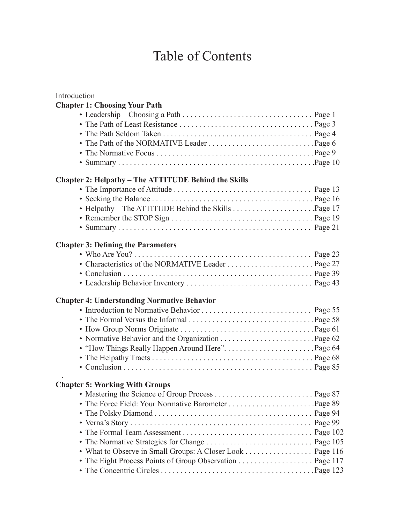## Table of Contents

| Introduction                                                |  |
|-------------------------------------------------------------|--|
| <b>Chapter 1: Choosing Your Path</b>                        |  |
|                                                             |  |
| <b>Chapter 2: Helpathy - The ATTITUDE Behind the Skills</b> |  |
|                                                             |  |
|                                                             |  |
|                                                             |  |
|                                                             |  |
|                                                             |  |
| <b>Chapter 3: Defining the Parameters</b>                   |  |
|                                                             |  |
|                                                             |  |
|                                                             |  |
|                                                             |  |
| <b>Chapter 4: Understanding Normative Behavior</b>          |  |
|                                                             |  |
|                                                             |  |
|                                                             |  |
|                                                             |  |
|                                                             |  |
|                                                             |  |
|                                                             |  |
| <b>Chapter 5: Working With Groups</b>                       |  |
|                                                             |  |
|                                                             |  |
|                                                             |  |
|                                                             |  |
|                                                             |  |
| • The Normative Strategies for Change  Page 105             |  |
| • What to Observe in Small Groups: A Closer Look Page 116   |  |
| • The Eight Process Points of Group Observation Page 117    |  |
|                                                             |  |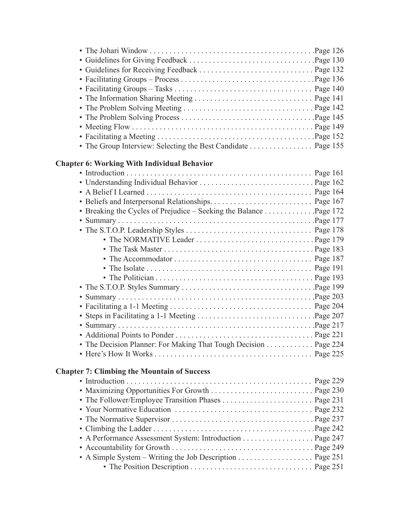| • The Group Interview: Selecting the Best Candidate Page 155      |  |
|-------------------------------------------------------------------|--|
| <b>Chapter 6: Working With Individual Behavior</b>                |  |
|                                                                   |  |
|                                                                   |  |
|                                                                   |  |
|                                                                   |  |
| • Breaking the Cycles of Prejudice - Seeking the Balance Page 172 |  |
|                                                                   |  |
|                                                                   |  |
|                                                                   |  |
|                                                                   |  |
|                                                                   |  |
|                                                                   |  |
|                                                                   |  |
|                                                                   |  |
|                                                                   |  |
|                                                                   |  |
|                                                                   |  |
|                                                                   |  |
|                                                                   |  |
| • The Decision Planner: For Making That Tough Decision Page 224   |  |
|                                                                   |  |
| <b>Chapter 7: Climbing the Mountain of Success</b>                |  |
|                                                                   |  |
|                                                                   |  |
|                                                                   |  |
|                                                                   |  |
|                                                                   |  |
|                                                                   |  |
|                                                                   |  |
| • A Performance Assessment System: Introduction Page 247          |  |
|                                                                   |  |
|                                                                   |  |
|                                                                   |  |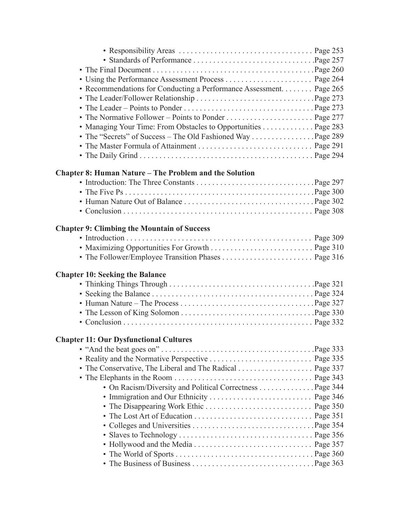| • Recommendations for Conducting a Performance Assessment. Page 265 |  |
|---------------------------------------------------------------------|--|
|                                                                     |  |
|                                                                     |  |
|                                                                     |  |
| • Managing Your Time: From Obstacles to Opportunities Page 283      |  |
|                                                                     |  |
|                                                                     |  |
|                                                                     |  |
| <b>Chapter 8: Human Nature – The Problem and the Solution</b>       |  |
|                                                                     |  |
|                                                                     |  |
|                                                                     |  |
|                                                                     |  |
| <b>Chapter 9: Climbing the Mountain of Success</b>                  |  |
|                                                                     |  |
| • Maximizing Opportunities For Growth  Page 310                     |  |
|                                                                     |  |
| <b>Chapter 10: Seeking the Balance</b>                              |  |
|                                                                     |  |
|                                                                     |  |
|                                                                     |  |
|                                                                     |  |
|                                                                     |  |
|                                                                     |  |
| <b>Chapter 11: Our Dysfunctional Cultures</b>                       |  |
|                                                                     |  |
| • Reality and the Normative Perspective  Page 335                   |  |
| • The Conservative, The Liberal and The Radical Page 337            |  |
|                                                                     |  |
| • On Racism/Diversity and Political Correctness Page 344            |  |
|                                                                     |  |
|                                                                     |  |
|                                                                     |  |
|                                                                     |  |
|                                                                     |  |
|                                                                     |  |
|                                                                     |  |
|                                                                     |  |